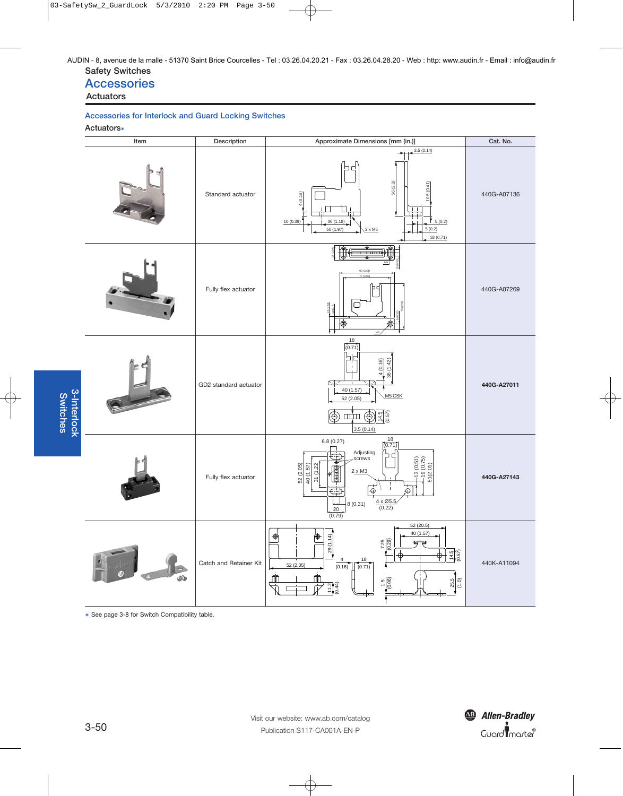#### **Safety Switches** AUDIN - 8, avenue de la malle - 51370 Saint Brice Courcelles - Tel : 03.26.04.20.21 - Fax : 03.26.04.28.20 - Web : http: www.audin.fr - Email : info@audin.fr

## **Accessories**

#### **Actuators**

#### **Accessories for Interlock and Guard Locking Switches**

**Actuators**✶



✶ See page 3-8 for Switch Compatibility table.



3-50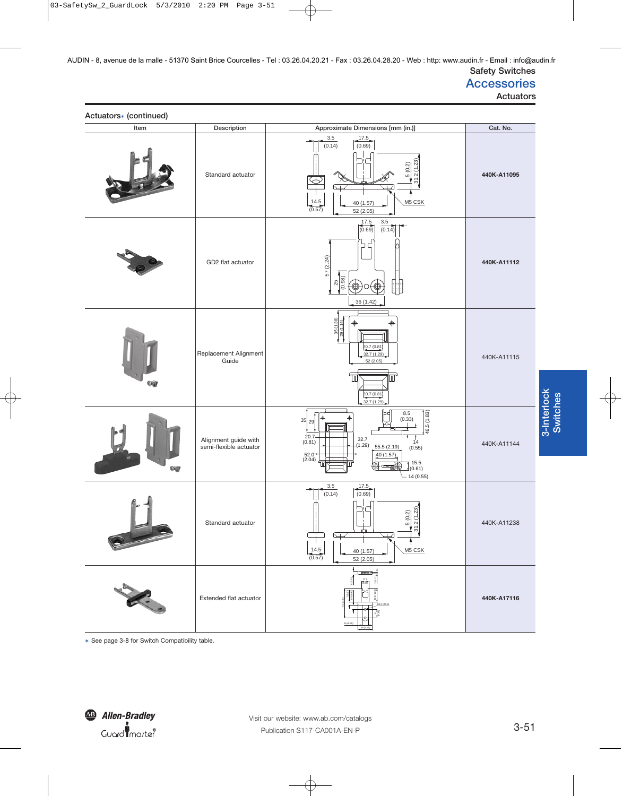# **Accessories**

**Actuators**

| Actuators* (continued) |                                                |                                                                                                                                                                                               |             |  |
|------------------------|------------------------------------------------|-----------------------------------------------------------------------------------------------------------------------------------------------------------------------------------------------|-------------|--|
| Item                   | Description                                    | Approximate Dimensions [mm (in.)]                                                                                                                                                             | Cat. No.    |  |
|                        | Standard actuator                              | 3.5<br>$\frac{17.5}{(0.69)}$<br>(0.14)<br>31.2(1.23)<br>5(0.2)<br>P<br>$\frac{14.5}{(0.57)}$<br>M5 CSK<br>40 (1.57)<br>52(2.05)                                                               | 440K-A11095 |  |
|                        | GD2 flat actuator                              | 3.5<br>$\frac{17.5}{(0.69)}$<br>(0.14)<br>コ<br>57 (2.24)<br>$\frac{25}{(0.98)}$<br>H<br>36(1.42)                                                                                              | 440K-A11112 |  |
| Ŵ                      | Replacement Alignment<br>Guide                 | $\frac{35(1.38)}{29(1.14)}$<br>⊕<br>20.7 (0.81)<br>32.7 (1.29)<br>52(2.05)<br>20.7 (0.81)<br>32.7(1.29)                                                                                       | 440K-A11115 |  |
| og                     | Alignment guide with<br>semi-flexible actuator | 46.5(1.83)<br>$8.5\,$<br>(0.33)<br>35 29 <br>$20.7 -$<br>(0.81)<br>32.7<br>$1^{4}$<br>(0.55)<br>(1.29)<br>55.5(2.19)<br>$52.0^{\ast}$<br>(2.04)<br>40 (1.57)<br>(0.61)<br>⊛<br>一個<br>14(0.55) | 440K-A11144 |  |
| $n - 1$                | Standard actuator                              | 3.5<br>17.5<br>(0.69)<br>(0.14)<br>2(1.23)<br>5(0.2)<br>က်<br>⊾<br>レ<br>$\frac{14.5}{(0.57)}$<br>M5 CSK<br>40 (1.57)<br>52(2.05)                                                              | 440K-A11238 |  |
|                        | Extended flat actuator                         | i <del>ww.</del>                                                                                                                                                                              | 440K-A17116 |  |

✶ See page 3-8 for Switch Compatibility table.

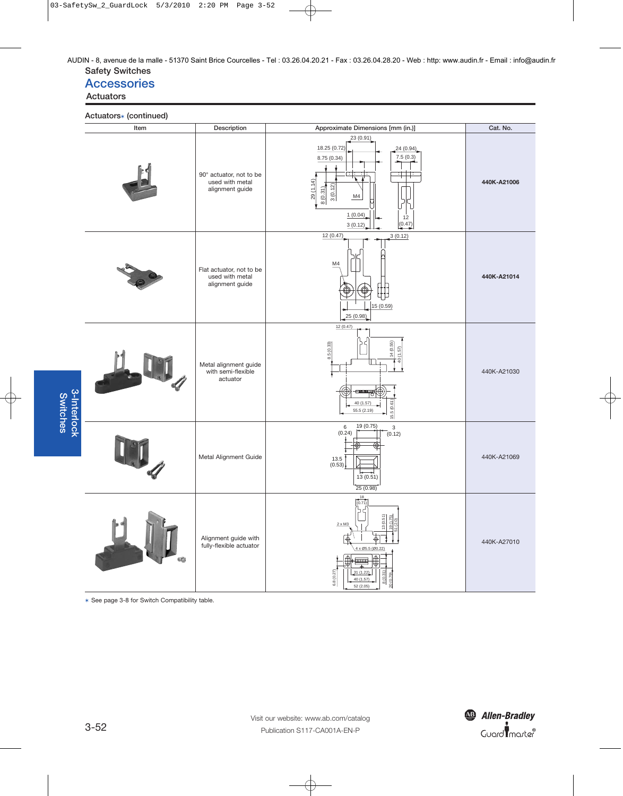**Safety Switches** AUDIN - 8, avenue de la malle - 51370 Saint Brice Courcelles - Tel : 03.26.04.20.21 - Fax : 03.26.04.28.20 - Web : http: www.audin.fr - Email : info@audin.fr

## **Accessories**

#### **Actuators**

**Actuators**✶ **(continued)**

| Item              | Description                                                    | Approximate Dimensions [mm (in.)]                                                                                                                                                                                  | Cat. No.    |
|-------------------|----------------------------------------------------------------|--------------------------------------------------------------------------------------------------------------------------------------------------------------------------------------------------------------------|-------------|
|                   | 90° actuator, not to be<br>used with metal<br>alignment guide  | 23 (0.91)<br>18.25 (0.72)<br>24(0.94)<br>7.5(0.3)<br>8.75 (0.34)<br>TT.<br>गाना<br>29(1.14)<br>$\frac{8(0.31)}{2}$<br>3(0.12)<br>M4<br>1(0.04)<br>12<br>(0.47)<br>3(0.12)                                          | 440K-A21006 |
|                   | Flat actuator, not to be<br>used with metal<br>alignment guide | 12 (0.47)<br>3(0.12)<br>M4<br>非<br>15 (0.59)<br>25(0.98)                                                                                                                                                           | 440K-A21014 |
|                   | Metal alignment guide<br>with semi-flexible<br>actuator        | 12(0.47)<br>14(0.55)<br>8.5(0.33)<br>40 (1.57)<br>ر به هـ+<br>15.5(0.61)<br>40 (1.57)<br>55.5 (2.19)                                                                                                               | 440K-A21030 |
| <b>CONTRACTOR</b> | Metal Alignment Guide                                          | 19 (0.75)<br>6<br>$\mathsf 3$<br>(0.24)<br>(0.12)<br>13.5<br>(0.53)<br>13(0.51)<br>25(0.98)                                                                                                                        | 440K-A21069 |
| q                 | Alignment guide with<br>fully-flexible actuator                | $\frac{18}{(0.71)}$<br>ጎ<br>በ<br>$\sim$ $\sim$<br>13 (0.51)<br>$\frac{190.7}{1(2.0)}$<br>$2 \times M3$<br>হি<br>Ф<br>4 x Ø5.5 (Ø0.22)<br>ma<br>6.8(0.27)<br>31(1.22)<br>8(0.31)<br>40 (1.57)<br>20 (0.<br>52(2.05) | 440K-A27010 |

✶ See page 3-8 for Switch Compatibility table.

**R**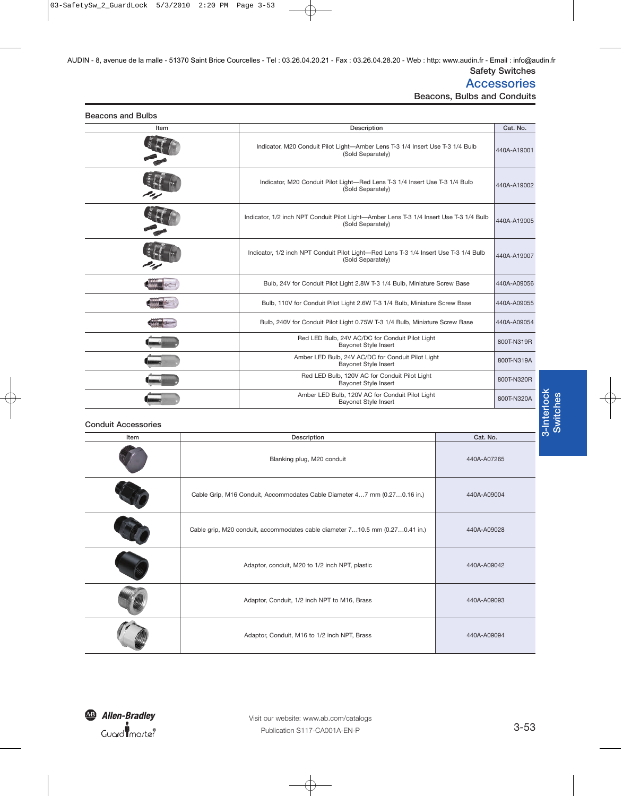### **Accessories**

**Beacons, Bulbs and Conduits**

| <b>Beacons and Bulbs</b> |  |  |
|--------------------------|--|--|

| Item | Description                                                                                                 | Cat. No.    |
|------|-------------------------------------------------------------------------------------------------------------|-------------|
|      | Indicator, M20 Conduit Pilot Light-Amber Lens T-3 1/4 Insert Use T-3 1/4 Bulb<br>(Sold Separately)          | 440A-A19001 |
|      | Indicator, M20 Conduit Pilot Light-Red Lens T-3 1/4 Insert Use T-3 1/4 Bulb<br>(Sold Separately)            | 440A-A19002 |
|      | Indicator, 1/2 inch NPT Conduit Pilot Light-Amber Lens T-3 1/4 Insert Use T-3 1/4 Bulb<br>(Sold Separately) | 440A-A19005 |
|      | Indicator, 1/2 inch NPT Conduit Pilot Light-Red Lens T-3 1/4 Insert Use T-3 1/4 Bulb<br>(Sold Separately)   | 440A-A19007 |
|      | Bulb, 24V for Conduit Pilot Light 2.8W T-3 1/4 Bulb, Miniature Screw Base                                   | 440A-A09056 |
|      | Bulb, 110V for Conduit Pilot Light 2.6W T-3 1/4 Bulb, Miniature Screw Base                                  | 440A-A09055 |
|      | Bulb, 240V for Conduit Pilot Light 0.75W T-3 1/4 Bulb, Miniature Screw Base                                 | 440A-A09054 |
|      | Red LED Bulb, 24V AC/DC for Conduit Pilot Light<br><b>Bayonet Style Insert</b>                              | 800T-N319R  |
|      | Amber LED Bulb, 24V AC/DC for Conduit Pilot Light<br><b>Bayonet Style Insert</b>                            | 800T-N319A  |
|      | Red LED Bulb, 120V AC for Conduit Pilot Light<br><b>Bayonet Style Insert</b>                                | 800T-N320R  |
|      | Amber LED Bulb, 120V AC for Conduit Pilot Light<br><b>Bayonet Style Insert</b>                              | 800T-N320A  |

#### **Conduit Accessories**

| Item | Description                                                                  | Cat. No.    |
|------|------------------------------------------------------------------------------|-------------|
|      | Blanking plug, M20 conduit                                                   | 440A-A07265 |
|      | Cable Grip, M16 Conduit, Accommodates Cable Diameter 47 mm (0.270.16 in.)    | 440A-A09004 |
|      | Cable grip, M20 conduit, accommodates cable diameter 710.5 mm (0.270.41 in.) | 440A-A09028 |
|      | Adaptor, conduit, M20 to 1/2 inch NPT, plastic                               | 440A-A09042 |
|      | Adaptor, Conduit, 1/2 inch NPT to M16, Brass                                 | 440A-A09093 |
|      | Adaptor, Conduit, M16 to 1/2 inch NPT, Brass                                 | 440A-A09094 |

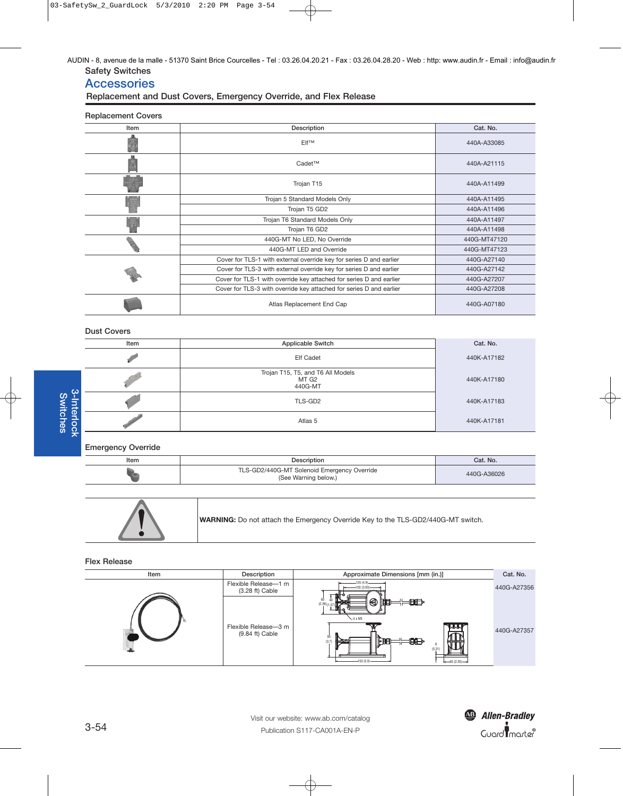**Safety Switches** AUDIN - 8, avenue de la malle - 51370 Saint Brice Courcelles - Tel : 03.26.04.20.21 - Fax : 03.26.04.28.20 - Web : http: www.audin.fr - Email : info@audin.fr

## **Accessories**

**Replacement and Dust Covers, Emergency Override, and Flex Release**

#### **Replacement Covers**

| Item | Description                                                         | Cat. No.     |
|------|---------------------------------------------------------------------|--------------|
|      | <b>Elf<sup>TM</sup></b>                                             | 440A-A33085  |
|      | Cadet™                                                              | 440A-A21115  |
|      | Trojan T15                                                          | 440A-A11499  |
|      | Trojan 5 Standard Models Only                                       | 440A-A11495  |
|      | Trojan T5 GD2                                                       | 440A-A11496  |
|      | Trojan T6 Standard Models Only                                      | 440A-A11497  |
|      | Trojan T6 GD2                                                       | 440A-A11498  |
|      | 440G-MT No LED, No Override                                         | 440G-MT47120 |
|      | 440G-MT LED and Override                                            | 440G-MT47123 |
|      | Cover for TLS-1 with external override key for series D and earlier | 440G-A27140  |
|      | Cover for TLS-3 with external override key for series D and earlier | 440G-A27142  |
|      | Cover for TLS-1 with override key attached for series D and earlier | 440G-A27207  |
|      | Cover for TLS-3 with override key attached for series D and earlier | 440G-A27208  |
|      | Atlas Replacement End Cap                                           | 440G-A07180  |

#### **Dust Covers**

| Item | <b>Applicable Switch</b>                              | Cat. No.    |
|------|-------------------------------------------------------|-------------|
|      | Elf Cadet                                             | 440K-A17182 |
|      | Trojan T15, T5, and T6 All Models<br>MT G2<br>440G-MT | 440K-A17180 |
|      | TLS-GD2                                               | 440K-A17183 |
|      | Atlas 5                                               | 440K-A17181 |

#### **Emergency Override**

| Item | <b>Description</b>                                                  | Cat. No.    |
|------|---------------------------------------------------------------------|-------------|
|      | TLS-GD2/440G-MT Solenoid Emergency Override<br>(See Warning below.) | 440G-A36026 |

|  | WARNING: Do not attach the Emergency Override Key to the TLS-GD2/440G-MT switch. |
|--|----------------------------------------------------------------------------------|
|--|----------------------------------------------------------------------------------|

**Flex Release**

| Item | Description                               | Approximate Dimensions [mm (in.)]                                                                                                                                            | Cat. No.    |
|------|-------------------------------------------|------------------------------------------------------------------------------------------------------------------------------------------------------------------------------|-------------|
|      | Flexible Release-1 m<br>$(3.28 ft)$ Cable | $-125(4.9)$<br>$-100(3.93)$ -                                                                                                                                                | 440G-A27356 |
|      | Flexible Release-3 m<br>$(9.84 ft)$ Cable | 60<br>$\circ$ in<br>$\rightleftarrows\blacksquare$<br>$(2.36)$ $(1.57)$<br>$-4 \times M5$<br>7.I.I.<br>95<br>⊯<br>₩₽<br>부품당<br>(3.7)<br>(0.31)<br>$-150(5.9)$<br>$-65(2.55)$ | 440G-A27357 |



 $\overline{a}$